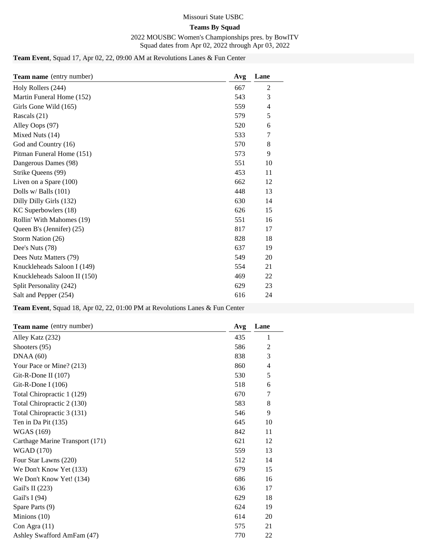#### Missouri State USBC

## **Teams By Squad**

2022 MOUSBC Women's Championships pres. by BowlTV Squad dates from Apr 02, 2022 through Apr 03, 2022

## **Team Event**, Squad 17, Apr 02, 22, 09:00 AM at Revolutions Lanes & Fun Center

| <b>Team name</b> (entry number) | Avg | Lane           |
|---------------------------------|-----|----------------|
| Holy Rollers (244)              | 667 | 2              |
| Martin Funeral Home (152)       | 543 | 3              |
| Girls Gone Wild (165)           | 559 | $\overline{4}$ |
| Rascals (21)                    | 579 | 5              |
| Alley Oops (97)                 | 520 | 6              |
| Mixed Nuts (14)                 | 533 | 7              |
| God and Country (16)            | 570 | 8              |
| Pitman Funeral Home (151)       | 573 | 9              |
| Dangerous Dames (98)            | 551 | 10             |
| Strike Queens (99)              | 453 | 11             |
| Liven on a Spare $(100)$        | 662 | 12             |
| Dolls w/ Balls $(101)$          | 448 | 13             |
| Dilly Dilly Girls (132)         | 630 | 14             |
| KC Superbowlers (18)            | 626 | 15             |
| Rollin' With Mahomes (19)       | 551 | 16             |
| Queen B's (Jennifer) (25)       | 817 | 17             |
| Storm Nation (26)               | 828 | 18             |
| Dee's Nuts (78)                 | 637 | 19             |
| Dees Nutz Matters (79)          | 549 | 20             |
| Knuckleheads Saloon I (149)     | 554 | 21             |
| Knuckleheads Saloon II (150)    | 469 | 22             |
| Split Personality (242)         | 629 | 23             |
| Salt and Pepper (254)           | 616 | 24             |

**Team Event**, Squad 18, Apr 02, 22, 01:00 PM at Revolutions Lanes & Fun Center

| <b>Team name</b> (entry number) | Avg | Lane           |
|---------------------------------|-----|----------------|
| Alley Katz (232)                | 435 | 1              |
| Shooters (95)                   | 586 | $\overline{2}$ |
| DNAA(60)                        | 838 | 3              |
| Your Pace or Mine? (213)        | 860 | $\overline{4}$ |
| Git-R-Done II (107)             | 530 | 5              |
| Git-R-Done I (106)              | 518 | 6              |
| Total Chiropractic 1 (129)      | 670 | 7              |
| Total Chiropractic 2 (130)      | 583 | 8              |
| Total Chiropractic 3 (131)      | 546 | 9              |
| Ten in Da Pit (135)             | 645 | 10             |
| <b>WGAS</b> (169)               | 842 | 11             |
| Carthage Marine Transport (171) | 621 | 12             |
| <b>WGAD</b> (170)               | 559 | 13             |
| Four Star Lawns (220)           | 512 | 14             |
| We Don't Know Yet (133)         | 679 | 15             |
| We Don't Know Yet! (134)        | 686 | 16             |
| Gail's II $(223)$               | 636 | 17             |
| Gail's I $(94)$                 | 629 | 18             |
| Spare Parts (9)                 | 624 | 19             |
| Minions $(10)$                  | 614 | 20             |
| Con Agra $(11)$                 | 575 | 21             |
| Ashley Swafford AmFam (47)      | 770 | 22             |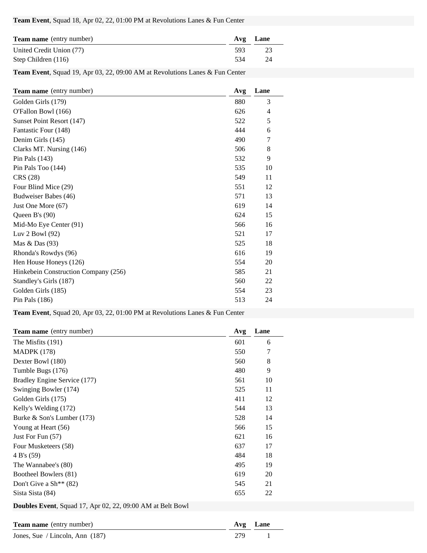#### **Team Event**, Squad 18, Apr 02, 22, 01:00 PM at Revolutions Lanes & Fun Center

| <b>Team name</b> (entry number) |      | Avg Lane |
|---------------------------------|------|----------|
| United Credit Union (77)        | -593 | 23       |
| Step Children (116)             | 534  | 24       |

**Team Event**, Squad 19, Apr 03, 22, 09:00 AM at Revolutions Lanes & Fun Center

| <b>Team name</b> (entry number)      | Avg | Lane |
|--------------------------------------|-----|------|
| Golden Girls (179)                   | 880 | 3    |
| O'Fallon Bowl (166)                  | 626 | 4    |
| Sunset Point Resort (147)            | 522 | 5    |
| Fantastic Four (148)                 | 444 | 6    |
| Denim Girls (145)                    | 490 | 7    |
| Clarks MT. Nursing (146)             | 506 | 8    |
| Pin Pals $(143)$                     | 532 | 9    |
| Pin Pals Too (144)                   | 535 | 10   |
| CRS (28)                             | 549 | 11   |
| Four Blind Mice (29)                 | 551 | 12   |
| Budweiser Babes (46)                 | 571 | 13   |
| Just One More (67)                   | 619 | 14   |
| Queen B's $(90)$                     | 624 | 15   |
| Mid-Mo Eye Center (91)               | 566 | 16   |
| Luv 2 Bowl (92)                      | 521 | 17   |
| Mas & Das (93)                       | 525 | 18   |
| Rhonda's Rowdys (96)                 | 616 | 19   |
| Hen House Honeys (126)               | 554 | 20   |
| Hinkebein Construction Company (256) | 585 | 21   |
| Standley's Girls (187)               | 560 | 22   |
| Golden Girls (185)                   | 554 | 23   |
| Pin Pals $(186)$                     | 513 | 24   |

**Team Event**, Squad 20, Apr 03, 22, 01:00 PM at Revolutions Lanes & Fun Center

| Team name (entry number)           | Avg | Lane |
|------------------------------------|-----|------|
| The Misfits (191)                  | 601 | 6    |
| <b>MADPK</b> (178)                 | 550 | 7    |
| Dexter Bowl (180)                  | 560 | 8    |
| Tumble Bugs (176)                  | 480 | 9    |
| Bradley Engine Service (177)       | 561 | 10   |
| Swinging Bowler (174)              | 525 | 11   |
| Golden Girls (175)                 | 411 | 12   |
| Kelly's Welding (172)              | 544 | 13   |
| Burke & Son's Lumber (173)         | 528 | 14   |
| Young at Heart (56)                | 566 | 15   |
| Just For Fun $(57)$                | 621 | 16   |
| Four Musketeers (58)               | 637 | 17   |
| 4 B's (59)                         | 484 | 18   |
| The Wannabee's (80)                | 495 | 19   |
| Bootheel Bowlers (81)              | 619 | 20   |
| Don't Give a $\text{Sh}^{**}$ (82) | 545 | 21   |
| Sista Sista (84)                   | 655 | 22   |

**Doubles Event**, Squad 17, Apr 02, 22, 09:00 AM at Belt Bowl

| <b>Team name</b> (entry number)   |     | Avg Lane |
|-----------------------------------|-----|----------|
| Jones, Sue / Lincoln, Ann $(187)$ | 279 |          |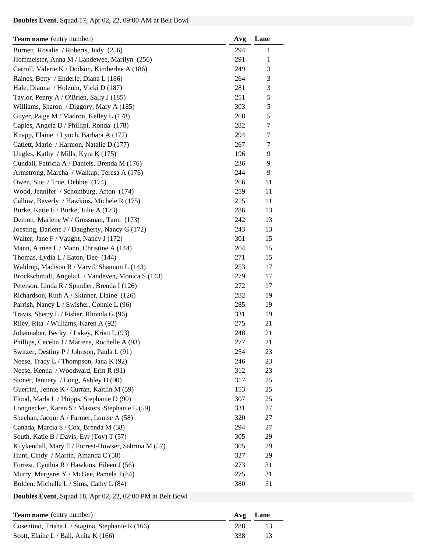## **Doubles Event**, Squad 17, Apr 02, 22, 09:00 AM at Belt Bowl

| Team name (entry number)                            | Avg | Lane |
|-----------------------------------------------------|-----|------|
| Burnett, Rosalie / Roberts, Judy (256)              | 294 | 1    |
| Hoffmeister, Anna M / Landewee, Marilyn (256)       | 291 | 1    |
| Carroll, Valerie K / Dodson, Kimberlee A (186)      | 249 | 3    |
| Raines, Betty / Enderle, Diana L (186)              | 264 | 3    |
| Hale, Dianna / Holzum, Vicki D (187)                | 281 | 3    |
| Taylor, Penny A / O'Brien, Sally J (185)            | 251 | 5    |
| Williams, Sharon / Diggory, Mary A (185)            | 303 | 5    |
| Guyer, Paige M / Madron, Kelley L (178)             | 268 | 5    |
| Caples, Angela D / Phillipi, Ronda (178)            | 282 | 7    |
| Knapp, Elaine / Lynch, Barbara A (177)              | 294 | 7    |
| Catlett, Marie / Harmon, Natalie D (177)            | 267 | 7    |
| Ungles, Kathy / Mills, Kyra K (175)                 | 196 | 9    |
| Cundall, Patricia A / Daniels, Brenda M (176)       | 236 | 9    |
| Armstrong, Marcha / Walkup, Teresa A (176)          | 244 | 9    |
| Owen, Sue / True, Debbie (174)                      | 266 | 11   |
| Wood, Jennifer / Schomburg, Afton (174)             | 259 | 11   |
| Callow, Beverly / Hawkins, Michele R (175)          | 215 | 11   |
| Burke, Katie E / Burke, Julie A (173)               | 286 | 13   |
| Demott, Marlene W / Grossman, Tami (173)            | 242 | 13   |
| Joesting, Darlene J / Daugherty, Nancy G (172)      | 243 | 13   |
| Walter, Jane F / Vaught, Nancy J (172)              | 301 | 15   |
| Mann, Aimee E / Mann, Christine A (144)             | 264 | 15   |
| Thomas, Lydia L / Eaton, Dee (144)                  | 271 | 15   |
| Waldrup, Madison R / Varvil, Shannon L (143)        | 253 | 17   |
| Brockschmidt, Angela L / Vandeven, Monica S (143)   | 279 | 17   |
| Peterson, Linda R / Spindler, Brenda I (126)        | 272 | 17   |
| Richardson, Ruth A / Skinner, Elaine (126)          | 282 | 19   |
| Parrish, Nancy L / Swisher, Connie L (96)           | 285 | 19   |
| Travis, Sherry L / Fisher, Rhonda G (96)            | 331 | 19   |
| Riley, Rita / Williams, Karen A (92)                | 275 | 21   |
| Johannaber, Becky / Lakey, Kristi L (93)            | 248 | 21   |
| Phillips, Cecelia J / Martens, Rochelle A (93)      | 277 | 21   |
| Switzer, Destiny P / Johnson, Paula L (91)          | 254 | 23   |
| Neese, Tracy L / Thompson, Jana K (92)              | 246 | 23   |
| Neese, Kenna / Woodward, Erin R (91)                | 312 | 23   |
| Stoner, January / Long, Ashley D (90)               | 317 | 25   |
| Guerrini, Jennie K / Curran, Kaitlin M (59)         | 153 | 25   |
| Flood, Marla L / Phipps, Stephanie D (90)           | 307 | 25   |
| Longnecker, Karen S / Masters, Stephanie L (59)     | 331 | 27   |
| Sheehan, Jacqui A / Farmer, Louise A (58)           | 320 | 27   |
| Canada, Marcia S / Cox, Brenda M (58)               | 294 | 27   |
| South, Katie B / Davis, Eyr (Toy) T (57)            | 305 | 29   |
| Kuykendall, Mary E / Forrest-Howser, Sabrina M (57) | 305 | 29   |
| Hunt, Cindy / Martin, Amanda C (58)                 | 327 | 29   |
| Forrest, Cynthia R / Hawkins, Eileen J (56)         | 273 | 31   |
| Murry, Margaret Y / McGee, Pamela J (84)            | 275 | 31   |
| Bolden, Michelle L / Sims, Cathy L (84)             | 380 | 31   |
|                                                     |     |      |

**Doubles Event**, Squad 18, Apr 02, 22, 02:00 PM at Belt Bowl

| <b>Team name</b> (entry number)                  |     | Avg Lane |
|--------------------------------------------------|-----|----------|
| Cosentino, Trisha L / Stagina, Stephanie R (166) | 288 |          |
| Scott, Elaine L / Ball, Anita K (166)            | 338 | -13      |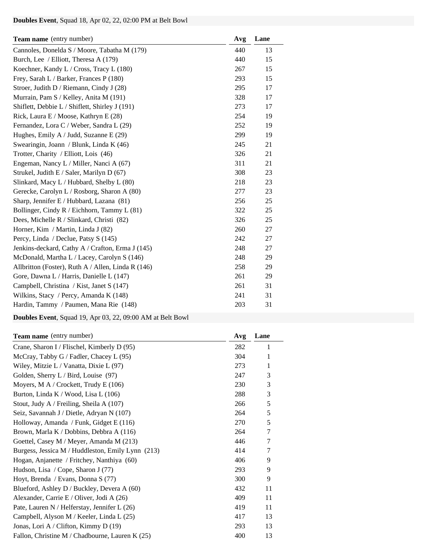# **Doubles Event**, Squad 18, Apr 02, 22, 02:00 PM at Belt Bowl

| <b>Team name</b> (entry number)                    | Avg | Lane |
|----------------------------------------------------|-----|------|
| Cannoles, Donelda S / Moore, Tabatha M (179)       | 440 | 13   |
| Burch, Lee / Elliott, Theresa A (179)              | 440 | 15   |
| Koechner, Kandy L / Cross, Tracy L (180)           | 267 | 15   |
| Frey, Sarah L / Barker, Frances P (180)            | 293 | 15   |
| Stroer, Judith D / Riemann, Cindy J (28)           | 295 | 17   |
| Murrain, Pam S / Kelley, Anita M (191)             | 328 | 17   |
| Shiflett, Debbie L / Shiflett, Shirley J (191)     | 273 | 17   |
| Rick, Laura E / Moose, Kathryn E (28)              | 254 | 19   |
| Fernandez, Lora C / Weber, Sandra L (29)           | 252 | 19   |
| Hughes, Emily A / Judd, Suzanne E (29)             | 299 | 19   |
| Swearingin, Joann / Blunk, Linda K (46)            | 245 | 21   |
| Trotter, Charity / Elliott, Lois (46)              | 326 | 21   |
| Engeman, Nancy L / Miller, Nanci A (67)            | 311 | 21   |
| Strukel, Judith E / Saler, Marilyn D (67)          | 308 | 23   |
| Slinkard, Macy L / Hubbard, Shelby L (80)          | 218 | 23   |
| Gerecke, Carolyn L / Rosborg, Sharon A (80)        | 277 | 23   |
| Sharp, Jennifer E / Hubbard, Lazana (81)           | 256 | 25   |
| Bollinger, Cindy R / Eichhorn, Tammy L (81)        | 322 | 25   |
| Dees, Michelle R / Slinkard, Christi (82)          | 326 | 25   |
| Horner, Kim / Martin, Linda J (82)                 | 260 | 27   |
| Percy, Linda / Declue, Patsy S (145)               | 242 | 27   |
| Jenkins-deckard, Cathy A / Crafton, Erma J (145)   | 248 | 27   |
| McDonald, Martha L / Lacey, Carolyn S (146)        | 248 | 29   |
| Allbritton (Foster), Ruth A / Allen, Linda R (146) | 258 | 29   |
| Gore, Dawna L / Harris, Danielle L (147)           | 261 | 29   |
| Campbell, Christina / Kist, Janet S (147)          | 261 | 31   |
| Wilkins, Stacy / Percy, Amanda K (148)             | 241 | 31   |
| Hardin, Tammy / Paumen, Mana Rie (148)             | 203 | 31   |

**Doubles Event**, Squad 19, Apr 03, 22, 09:00 AM at Belt Bowl

| <b>Team name</b> (entry number)                   | Avg | Lane           |
|---------------------------------------------------|-----|----------------|
| Crane, Sharon I / Flischel, Kimberly D (95)       | 282 | 1              |
| McCray, Tabby G / Fadler, Chacey L (95)           | 304 | 1              |
| Wiley, Mitzie L / Vanatta, Dixie L (97)           | 273 | 1              |
| Golden, Sherry L / Bird, Louise (97)              | 247 | 3              |
| Moyers, M A / Crockett, Trudy E $(106)$           | 230 | 3              |
| Burton, Linda K / Wood, Lisa L (106)              | 288 | 3              |
| Stout, Judy A / Freiling, Sheila A $(107)$        | 266 | 5              |
| Seiz, Savannah J / Dietle, Adryan N (107)         | 264 | 5              |
| Holloway, Amanda / Funk, Gidget E (116)           | 270 | 5              |
| Brown, Marla K / Dobbins, Debbra A (116)          | 264 | 7              |
| Goettel, Casey M / Meyer, Amanda M (213)          | 446 | $\overline{7}$ |
| Burgess, Jessica M / Huddleston, Emily Lynn (213) | 414 | $\overline{7}$ |
| Hogan, Anjanette / Fritchey, Nanthiya (60)        | 406 | 9              |
| Hudson, Lisa / Cope, Sharon J (77)                | 293 | 9              |
| Hoyt, Brenda / Evans, Donna S (77)                | 300 | 9              |
| Blueford, Ashley D / Buckley, Devera A (60)       | 432 | 11             |
| Alexander, Carrie E / Oliver, Jodi A (26)         | 409 | 11             |
| Pate, Lauren N / Helferstay, Jennifer L (26)      | 419 | 11             |
| Campbell, Alyson M / Keeler, Linda L (25)         | 417 | 13             |
| Jonas, Lori A / Clifton, Kimmy D $(19)$           | 293 | 13             |
| Fallon, Christine M / Chadbourne, Lauren K (25)   | 400 | 13             |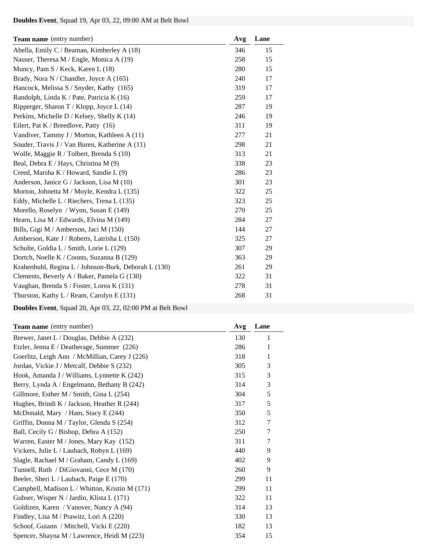# **Doubles Event**, Squad 19, Apr 03, 22, 09:00 AM at Belt Bowl

| <b>Team name</b> (entry number)                      | Avg | Lane |
|------------------------------------------------------|-----|------|
| Abella, Emily C / Beaman, Kimberley A (18)           | 346 | 15   |
| Nauser, Theresa M / Engle, Monica A (19)             | 258 | 15   |
| Muncy, Pam S / Keck, Karen L (18)                    | 280 | 15   |
| Brady, Nora N / Chandler, Joyce A (165)              | 240 | 17   |
| Hancock, Melissa S / Snyder, Kathy (165)             | 319 | 17   |
| Randolph, Linda K / Pate, Patricia K (16)            | 259 | 17   |
| Ripperger, Sharon T / Klopp, Joyce L $(14)$          | 287 | 19   |
| Perkins, Michelle D / Kelsey, Shelly K (14)          | 246 | 19   |
| Eilert, Pat K / Breedlove, Patty (16)                | 311 | 19   |
| Vandiver, Tammy J / Morton, Kathleen A (11)          | 277 | 21   |
| Souder, Travis J / Van Buren, Katherine A (11)       | 298 | 21   |
| Wolfe, Maggie R / Tolbert, Brenda S (10)             | 313 | 21   |
| Beal, Debra E / Hays, Christina M (9)                | 338 | 23   |
| Creed, Marsha K / Howard, Sandie L (9)               | 286 | 23   |
| Anderson, Janice G / Jackson, Lisa M (10)            | 301 | 23   |
| Morton, Johnetta M / Moyle, Kendra L (135)           | 322 | 25   |
| Eddy, Michelle L / Riechers, Trena L (135)           | 323 | 25   |
| Morello, Roselyn / Wynn, Susan E (149)               | 270 | 25   |
| Hearn, Lisa M / Edwards, Elvina M (149)              | 284 | 27   |
| Bills, Gigi M / Amberson, Jaci M (150)               | 144 | 27   |
| Amberson, Kate J / Roberts, Latrisha L (150)         | 325 | 27   |
| Schulte, Goldia L / Smith, Lorie L (129)             | 307 | 29   |
| Dortch, Noelle K / Coonts, Suzanna B (129)           | 363 | 29   |
| Krahenbuhl, Regina L / Johnson-Burk, Deborah L (130) | 261 | 29   |
| Clements, Beverly A / Baker, Pamela G (130)          | 322 | 31   |
| Vaughan, Brenda S / Foster, Lorea K (131)            | 278 | 31   |
| Thurston, Kathy L / Ream, Carolyn E (131)            | 268 | 31   |

**Doubles Event**, Squad 20, Apr 03, 22, 02:00 PM at Belt Bowl

| <b>Team name</b> (entry number)                | Avg | Lane   |
|------------------------------------------------|-----|--------|
| Brewer, Janet L / Douglas, Debbie A (232)      | 130 | 1      |
| Etzler, Jenna E / Deatherage, Summer (226)     | 286 | 1      |
| Goerlitz, Leigh Ann / McMillian, Carey J (226) | 318 | 1      |
| Jordan, Vickie J / Metcalf, Debbie S (232)     | 305 | 3      |
| Hook, Amanda J / Williams, Lynnette K $(242)$  | 315 | 3      |
| Berry, Lynda A / Engelmann, Bethany B (242)    | 314 | 3      |
| Gillmore, Esther M / Smith, Gina L (254)       | 304 | 5      |
| Hughes, Brindi K / Jackson, Heather R (244)    | 317 | 5      |
| McDonald, Mary / Ham, Stacy E (244)            | 350 | 5      |
| Griffin, Donna M / Taylor, Glenda S (254)      | 312 | $\tau$ |
| Ball, Cecily G / Bishop, Debra A (152)         | 250 | 7      |
| Warren, Easter M / Jones, Mary Kay (152)       | 311 | 7      |
| Vickers, Julie L / Laubach, Robyn L (169)      | 440 | 9      |
| Slagle, Rachael M / Graham, Candy L (169)      | 402 | 9      |
| Tunnell, Ruth / DiGiovanni, Cece M (170)       | 260 | 9      |
| Beeler, Sheri L / Laubach, Paige E (170)       | 299 | 11     |
| Campbell, Madison L / Whitton, Kristin M (171) | 299 | 11     |
| Gubser, Wisper N / Jardin, Klista L (171)      | 322 | 11     |
| Goldizen, Karen / Vanover, Nancy A (94)        | 314 | 13     |
| Findley, Lisa M / Prawitz, Lori A (220)        | 330 | 13     |
| Schoof, Guiann / Mitchell, Vicki E (220)       | 182 | 13     |
| Spencer, Shayna M / Lawrence, Heidi M (223)    | 354 | 15     |